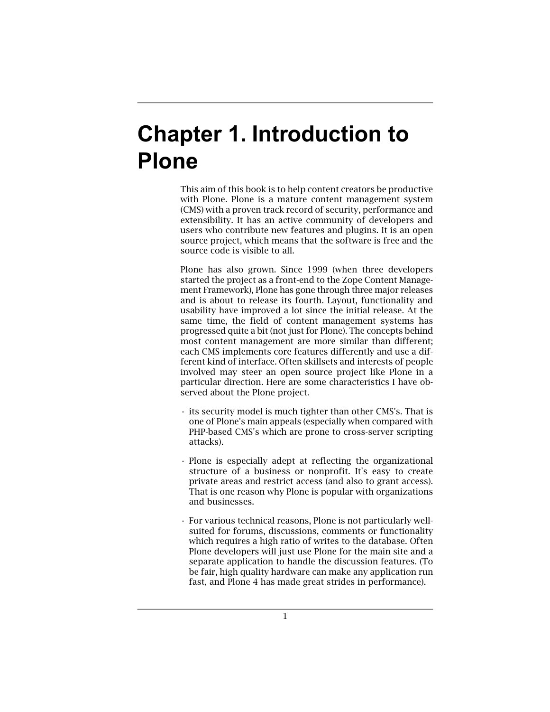# **Chapter 1. Introduction to Plone**

This aim of this book is to help content creators be productive with Plone. Plone is a mature content management system (CMS) with a proven track record of security, performance and extensibility. It has an active community of developers and users who contribute new features and plugins. It is an open source project, which means that the software is free and the source code is visible to all.

Plone has also grown. Since 1999 (when three developers started the project as a front-end to the Zope Content Management Framework), Plone has gone through three major releases and is about to release its fourth. Layout, functionality and usability have improved a lot since the initial release. At the same time, the field of content management systems has progressed quite a bit (not just for Plone). The concepts behind most content management are more similar than different; each CMS implements core features differently and use a different kind of interface. Often skillsets and interests of people involved may steer an open source project like Plone in a particular direction. Here are some characteristics I have observed about the Plone project.

- its security model is much tighter than other CMS's. That is one of Plone's main appeals (especially when compared with PHP-based CMS's which are prone to cross-server scripting attacks).
- Plone is especially adept at reflecting the organizational structure of a business or nonprofit. It's easy to create private areas and restrict access (and also to grant access). That is one reason why Plone is popular with organizations and businesses.
- For various technical reasons, Plone is not particularly wellsuited for forums, discussions, comments or functionality which requires a high ratio of writes to the database. Often Plone developers will just use Plone for the main site and a separate application to handle the discussion features. (To be fair, high quality hardware can make any application run fast, and Plone 4 has made great strides in performance).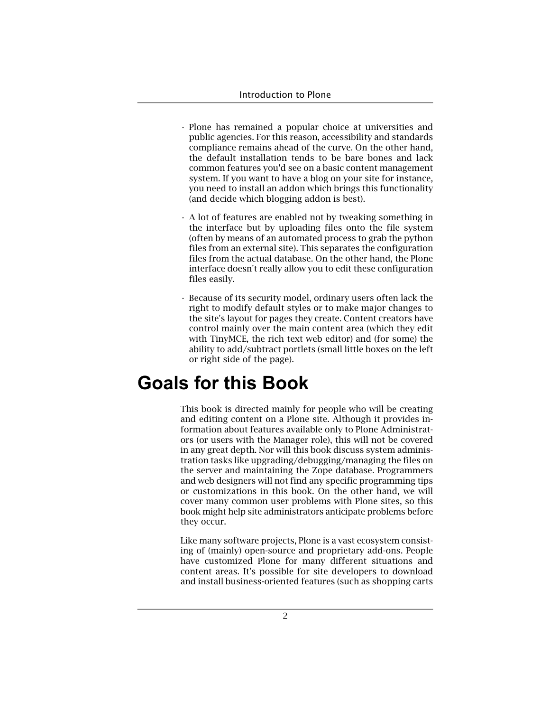- Plone has remained a popular choice at universities and public agencies. For this reason, accessibility and standards compliance remains ahead of the curve. On the other hand, the default installation tends to be bare bones and lack common features you'd see on a basic content management system. If you want to have a blog on your site for instance, you need to install an addon which brings this functionality (and decide which blogging addon is best).
- A lot of features are enabled not by tweaking something in the interface but by uploading files onto the file system (often by means of an automated process to grab the python files from an external site). This separates the configuration files from the actual database. On the other hand, the Plone interface doesn't really allow you to edit these configuration files easily.
- Because of its security model, ordinary users often lack the right to modify default styles or to make major changes to the site's layout for pages they create. Content creators have control mainly over the main content area (which they edit with TinyMCE, the rich text web editor) and (for some) the ability to add/subtract portlets (small little boxes on the left or right side of the page).

## **Goals for this Book**

This book is directed mainly for people who will be creating and editing content on a Plone site. Although it provides information about features available only to Plone Administrators (or users with the Manager role), this will not be covered in any great depth. Nor will this book discuss system administration tasks like upgrading/debugging/managing the files on the server and maintaining the Zope database. Programmers and web designers will not find any specific programming tips or customizations in this book. On the other hand, we will cover many common user problems with Plone sites, so this book might help site administrators anticipate problems before they occur.

Like many software projects, Plone is a vast ecosystem consisting of (mainly) open-source and proprietary add-ons. People have customized Plone for many different situations and content areas. It's possible for site developers to download and install business-oriented features (such as shopping carts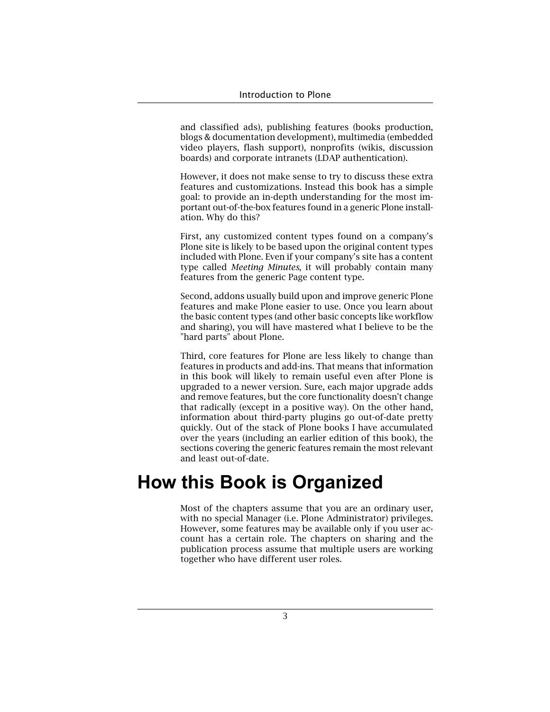and classified ads), publishing features (books production, blogs & documentation development), multimedia (embedded video players, flash support), nonprofits (wikis, discussion boards) and corporate intranets (LDAP authentication).

However, it does not make sense to try to discuss these extra features and customizations. Instead this book has a simple goal: to provide an in-depth understanding for the most important out-of-the-box features found in a generic Plone installation. Why do this?

First, any customized content types found on a company's Plone site is likely to be based upon the original content types included with Plone. Even if your company's site has a content type called *Meeting Minutes*, it will probably contain many features from the generic Page content type.

Second, addons usually build upon and improve generic Plone features and make Plone easier to use. Once you learn about the basic content types (and other basic concepts like workflow and sharing), you will have mastered what I believe to be the "hard parts" about Plone.

Third, core features for Plone are less likely to change than features in products and add-ins. That means that information in this book will likely to remain useful even after Plone is upgraded to a newer version. Sure, each major upgrade adds and remove features, but the core functionality doesn't change that radically (except in a positive way). On the other hand, information about third-party plugins go out-of-date pretty quickly. Out of the stack of Plone books I have accumulated over the years (including an earlier edition of this book), the sections covering the generic features remain the most relevant and least out-of-date.

### **How this Book is Organized**

Most of the chapters assume that you are an ordinary user, with no special Manager (i.e. Plone Administrator) privileges. However, some features may be available only if you user account has a certain role. The chapters on sharing and the publication process assume that multiple users are working together who have different user roles.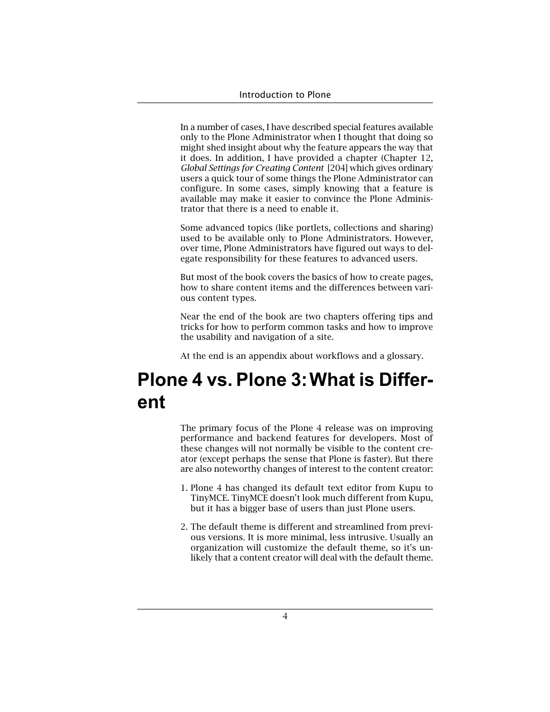In a number of cases, I have described special features available only to the Plone Administrator when I thought that doing so might shed insight about why the feature appears the way that it does. In addition, I have provided a chapter (Chapter 12, *Global Settings for Creating Content* [204] which gives ordinary users a quick tour of some things the Plone Administrator can configure. In some cases, simply knowing that a feature is available may make it easier to convince the Plone Administrator that there is a need to enable it.

Some advanced topics (like portlets, collections and sharing) used to be available only to Plone Administrators. However, over time, Plone Administrators have figured out ways to delegate responsibility for these features to advanced users.

But most of the book covers the basics of how to create pages, how to share content items and the differences between various content types.

Near the end of the book are two chapters offering tips and tricks for how to perform common tasks and how to improve the usability and navigation of a site.

At the end is an appendix about workflows and a glossary.

# **Plone 4 vs. Plone 3:What is Different**

The primary focus of the Plone 4 release was on improving performance and backend features for developers. Most of these changes will not normally be visible to the content creator (except perhaps the sense that Plone is faster). But there are also noteworthy changes of interest to the content creator:

- 1. Plone 4 has changed its default text editor from Kupu to TinyMCE. TinyMCE doesn't look much different from Kupu, but it has a bigger base of users than just Plone users.
- 2. The default theme is different and streamlined from previous versions. It is more minimal, less intrusive. Usually an organization will customize the default theme, so it's unlikely that a content creator will deal with the default theme.